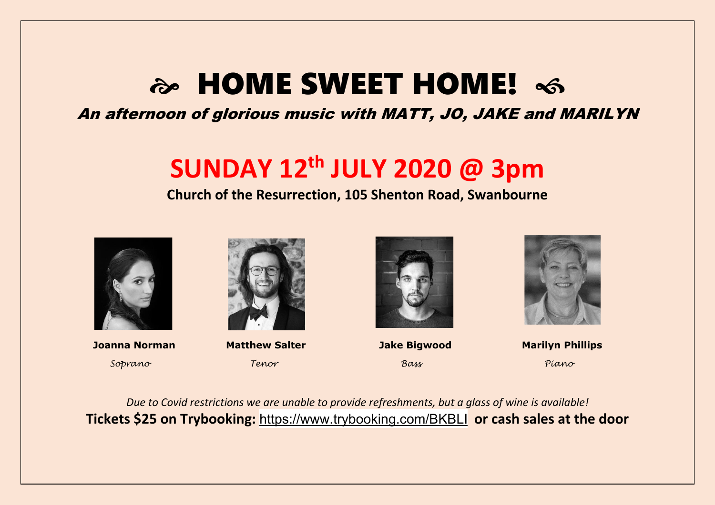# a HOME SWEET HOME!  $\infty$

## An afternoon of glorious music with MATT, JO, JAKE and MARILYN

## **SUNDAY 12th JULY 2020 @ 3pm**

### **Church of the Resurrection, 105 Shenton Road, Swanbourne**



 **Joanna Norman****Matthew Salter Jake Bigwood Marilyn Phillips** *Soprano Tenor Bass Piano*







*Due to Covid restrictions we are unable to provide refreshments, but a glass of wine is available!* **Tickets \$25 on Trybooking:** <https://www.trybooking.com/BKBLI> **or cash sales at the door**